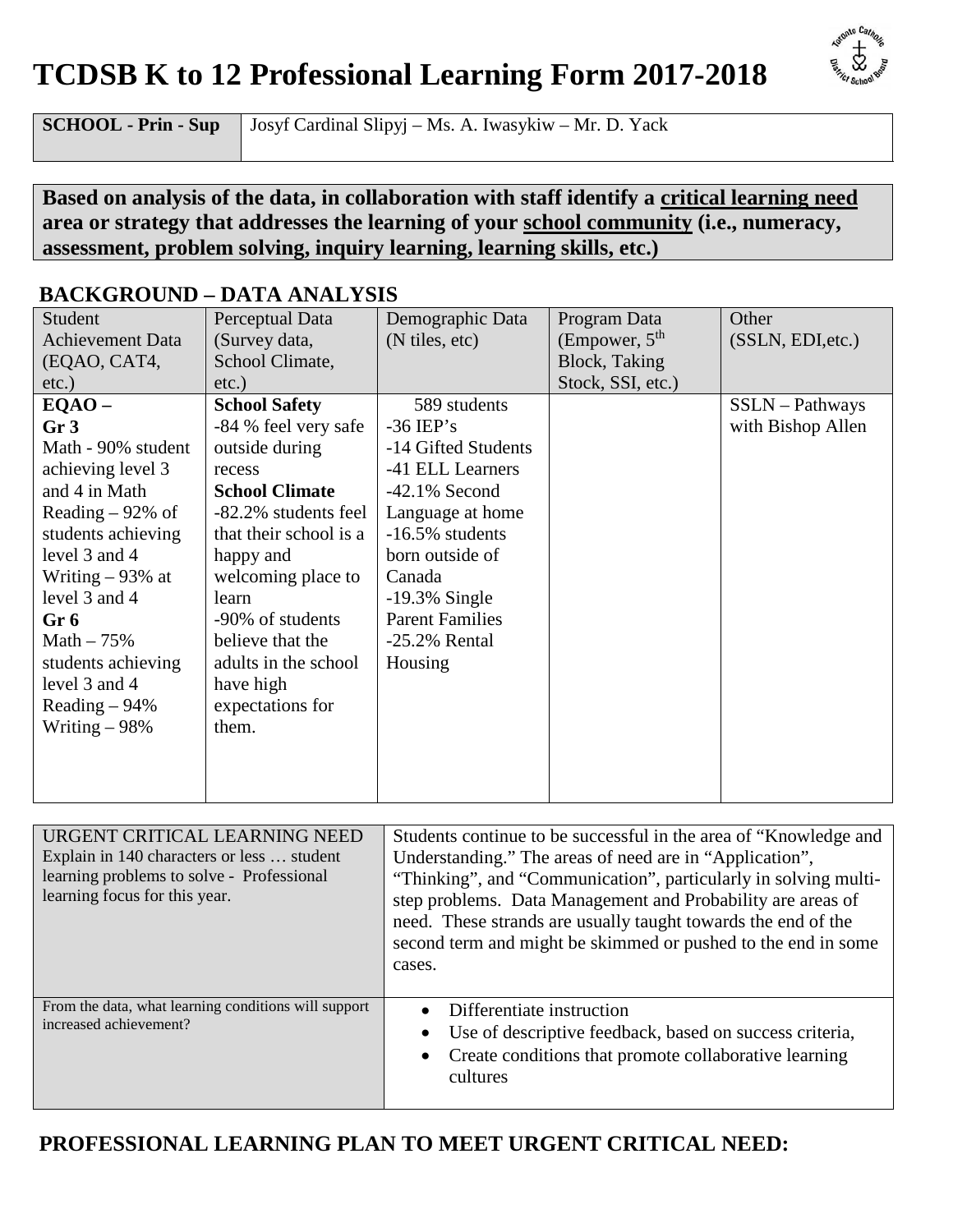## **TCDSB K to 12 Professional Learning Form 2017-2018**



**SCHOOL - Prin - Sup** Josyf Cardinal Slipyj – Ms. A. Iwasykiw – Mr. D. Yack

#### **Based on analysis of the data, in collaboration with staff identify a critical learning need area or strategy that addresses the learning of your school community (i.e., numeracy, assessment, problem solving, inquiry learning, learning skills, etc.)**

|                         | DACINONOUND – DATA ARAL I BIB |                        |                   |                   |
|-------------------------|-------------------------------|------------------------|-------------------|-------------------|
| Student                 | Perceptual Data               | Demographic Data       | Program Data      | Other             |
| <b>Achievement Data</b> | (Survey data,                 | (N tiles, etc)         | (Empower, $5th$   | (SSLN, EDI, etc.) |
| (EQAO, CAT4,            | School Climate,               |                        | Block, Taking     |                   |
| etc.)                   | $etc.$ )                      |                        | Stock, SSI, etc.) |                   |
| $EQAO -$                | <b>School Safety</b>          | 589 students           |                   | $SSLN - Pathways$ |
| Gr <sub>3</sub>         | -84 % feel very safe          | $-36$ IEP's            |                   | with Bishop Allen |
| Math - 90% student      | outside during                | -14 Gifted Students    |                   |                   |
| achieving level 3       | recess                        | -41 ELL Learners       |                   |                   |
| and 4 in Math           | <b>School Climate</b>         | $-42.1\%$ Second       |                   |                   |
| Reading $-92\%$ of      | -82.2% students feel          | Language at home       |                   |                   |
| students achieving      | that their school is a        | $-16.5\%$ students     |                   |                   |
| level 3 and 4           | happy and                     | born outside of        |                   |                   |
| Writing $-93%$ at       | welcoming place to            | Canada                 |                   |                   |
| level 3 and 4           | learn                         | $-19.3\%$ Single       |                   |                   |
| Gr 6                    | -90% of students              | <b>Parent Families</b> |                   |                   |
| Math $-75%$             | believe that the              | $-25.2\%$ Rental       |                   |                   |
| students achieving      | adults in the school          | Housing                |                   |                   |
| level 3 and 4           | have high                     |                        |                   |                   |
| Reading $-94\%$         | expectations for              |                        |                   |                   |
| Writing $-98%$          | them.                         |                        |                   |                   |
|                         |                               |                        |                   |                   |
|                         |                               |                        |                   |                   |
|                         |                               |                        |                   |                   |

### **BACKGROUND – DATA ANALYSIS**

| URGENT CRITICAL LEARNING NEED<br>Explain in 140 characters or less  student<br>learning problems to solve - Professional<br>learning focus for this year. | Students continue to be successful in the area of "Knowledge and<br>Understanding." The areas of need are in "Application",<br>"Thinking", and "Communication", particularly in solving multi-<br>step problems. Data Management and Probability are areas of<br>need. These strands are usually taught towards the end of the<br>second term and might be skimmed or pushed to the end in some<br>cases. |
|-----------------------------------------------------------------------------------------------------------------------------------------------------------|-----------------------------------------------------------------------------------------------------------------------------------------------------------------------------------------------------------------------------------------------------------------------------------------------------------------------------------------------------------------------------------------------------------|
| From the data, what learning conditions will support<br>increased achievement?                                                                            | Differentiate instruction<br>Use of descriptive feedback, based on success criteria,<br>Create conditions that promote collaborative learning<br>cultures                                                                                                                                                                                                                                                 |

## **PROFESSIONAL LEARNING PLAN TO MEET URGENT CRITICAL NEED:**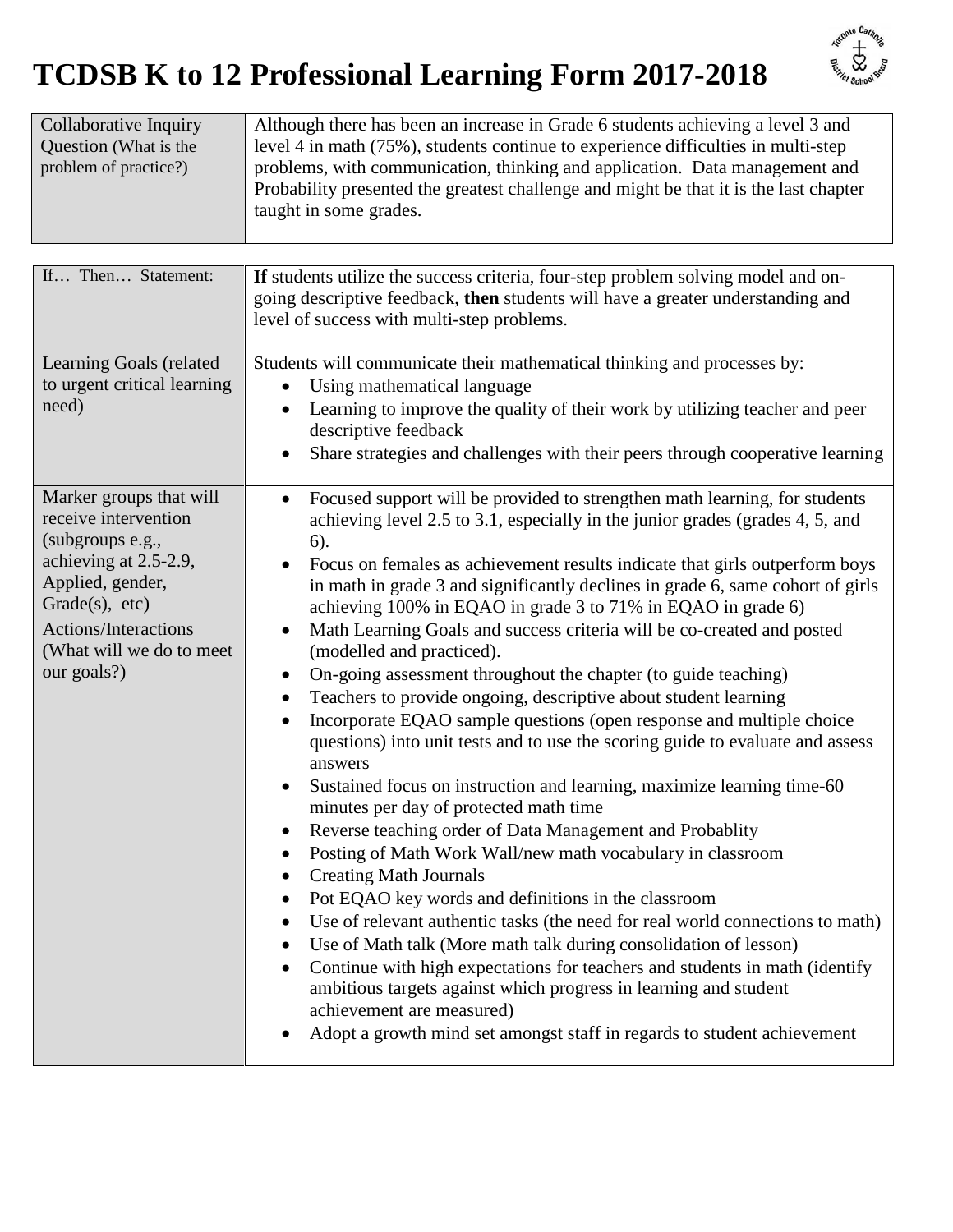# **TCDSB K to 12 Professional Learning Form 2017-2018**



| Collaborative Inquiry | Although there has been an increase in Grade 6 students achieving a level 3 and       |
|-----------------------|---------------------------------------------------------------------------------------|
| Question (What is the | level 4 in math (75%), students continue to experience difficulties in multi-step     |
| problem of practice?) | problems, with communication, thinking and application. Data management and           |
|                       | Probability presented the greatest challenge and might be that it is the last chapter |
|                       | taught in some grades.                                                                |
|                       |                                                                                       |

| If Then Statement:                                                                                                                 | If students utilize the success criteria, four-step problem solving model and on-<br>going descriptive feedback, then students will have a greater understanding and<br>level of success with multi-step problems.                                                                                                                                                                                                                                                                                                                                                                                                                                                                                                                                                                                                                                                                                                                                                                                                                                                                                                                                                                                                                                                                                                 |
|------------------------------------------------------------------------------------------------------------------------------------|--------------------------------------------------------------------------------------------------------------------------------------------------------------------------------------------------------------------------------------------------------------------------------------------------------------------------------------------------------------------------------------------------------------------------------------------------------------------------------------------------------------------------------------------------------------------------------------------------------------------------------------------------------------------------------------------------------------------------------------------------------------------------------------------------------------------------------------------------------------------------------------------------------------------------------------------------------------------------------------------------------------------------------------------------------------------------------------------------------------------------------------------------------------------------------------------------------------------------------------------------------------------------------------------------------------------|
| Learning Goals (related<br>to urgent critical learning<br>need)                                                                    | Students will communicate their mathematical thinking and processes by:<br>Using mathematical language<br>$\bullet$<br>Learning to improve the quality of their work by utilizing teacher and peer<br>descriptive feedback<br>Share strategies and challenges with their peers through cooperative learning                                                                                                                                                                                                                                                                                                                                                                                                                                                                                                                                                                                                                                                                                                                                                                                                                                                                                                                                                                                                        |
| Marker groups that will<br>receive intervention<br>(subgroups e.g.,<br>achieving at 2.5-2.9,<br>Applied, gender,<br>Grade(s), etc) | Focused support will be provided to strengthen math learning, for students<br>achieving level 2.5 to 3.1, especially in the junior grades (grades 4, 5, and<br>6).<br>Focus on females as achievement results indicate that girls outperform boys<br>in math in grade 3 and significantly declines in grade 6, same cohort of girls<br>achieving 100% in EQAO in grade 3 to 71% in EQAO in grade 6)                                                                                                                                                                                                                                                                                                                                                                                                                                                                                                                                                                                                                                                                                                                                                                                                                                                                                                                |
| Actions/Interactions<br>(What will we do to meet<br>our goals?)                                                                    | Math Learning Goals and success criteria will be co-created and posted<br>$\bullet$<br>(modelled and practiced).<br>On-going assessment throughout the chapter (to guide teaching)<br>$\bullet$<br>Teachers to provide ongoing, descriptive about student learning<br>$\bullet$<br>Incorporate EQAO sample questions (open response and multiple choice<br>$\bullet$<br>questions) into unit tests and to use the scoring guide to evaluate and assess<br>answers<br>Sustained focus on instruction and learning, maximize learning time-60<br>minutes per day of protected math time<br>Reverse teaching order of Data Management and Probablity<br>$\bullet$<br>Posting of Math Work Wall/new math vocabulary in classroom<br>$\bullet$<br><b>Creating Math Journals</b><br>$\bullet$<br>Pot EQAO key words and definitions in the classroom<br>$\bullet$<br>Use of relevant authentic tasks (the need for real world connections to math)<br>$\bullet$<br>Use of Math talk (More math talk during consolidation of lesson)<br>$\bullet$<br>Continue with high expectations for teachers and students in math (identify<br>$\bullet$<br>ambitious targets against which progress in learning and student<br>achievement are measured)<br>Adopt a growth mind set amongst staff in regards to student achievement |